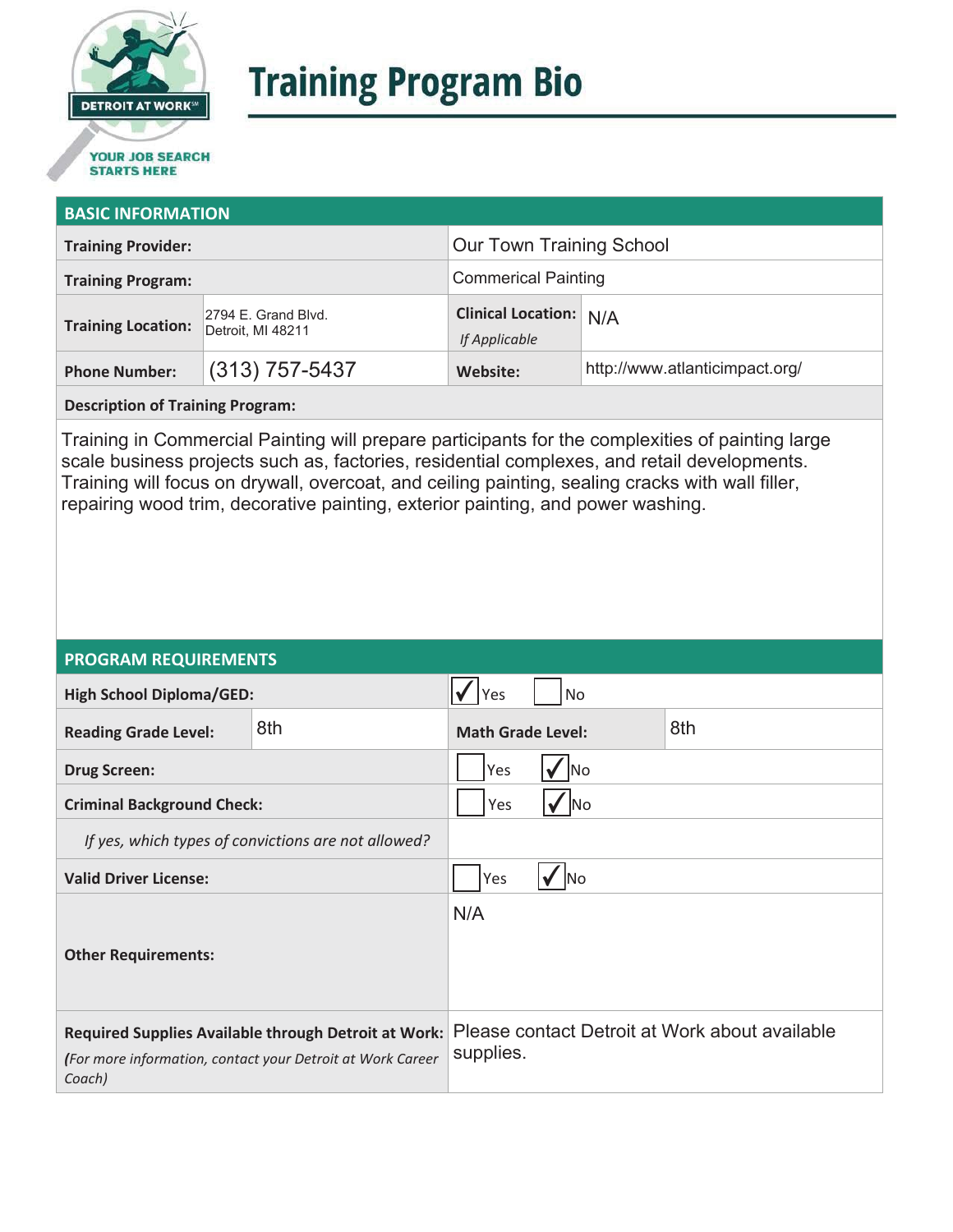

# **Training Program Bio**

## **STARTS HERE**

#### **BASIC INFORMATION**

| <b>Training Provider:</b> |                                          | <b>Our Town Training School</b>                |                                |
|---------------------------|------------------------------------------|------------------------------------------------|--------------------------------|
| <b>Training Program:</b>  |                                          | <b>Commerical Painting</b>                     |                                |
| <b>Training Location:</b> | 2794 E. Grand Blvd.<br>Detroit, MI 48211 | <b>Clinical Location: N/A</b><br>If Applicable |                                |
| <b>Phone Number:</b>      | $(313)$ 757-5437                         | Website:                                       | http://www.atlanticimpact.org/ |

**Description of Training Program:** 

Training in Commercial Painting will prepare participants for the complexities of painting large scale business projects such as, factories, residential complexes, and retail developments. Training will focus on drywall, overcoat, and ceiling painting, sealing cracks with wall filler, repairing wood trim, decorative painting, exterior painting, and power washing.

#### **PROGRAM REQUIREMENTS**

| <b>High School Diploma/GED:</b>                                                                                              |     | Yes                             | <b>No</b> |                                                |
|------------------------------------------------------------------------------------------------------------------------------|-----|---------------------------------|-----------|------------------------------------------------|
| <b>Reading Grade Level:</b>                                                                                                  | 8th | 8th<br><b>Math Grade Level:</b> |           |                                                |
| <b>Drug Screen:</b>                                                                                                          |     | Yes<br>lNo                      |           |                                                |
| <b>Criminal Background Check:</b>                                                                                            |     | Yes<br><b>No</b>                |           |                                                |
| If yes, which types of convictions are not allowed?                                                                          |     |                                 |           |                                                |
| <b>Valid Driver License:</b>                                                                                                 |     | Yes<br><b>No</b>                |           |                                                |
| <b>Other Requirements:</b>                                                                                                   |     | N/A                             |           |                                                |
| Required Supplies Available through Detroit at Work:<br>(For more information, contact your Detroit at Work Career<br>Coach) |     | supplies.                       |           | Please contact Detroit at Work about available |